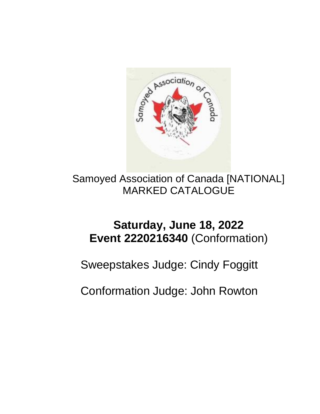

Samoyed Association of Canada [NATIONAL] MARKED CATALOGUE

## **Saturday, June 18, 2022 Event 2220216340** (Conformation)

Sweepstakes Judge: Cindy Foggitt

Conformation Judge: John Rowton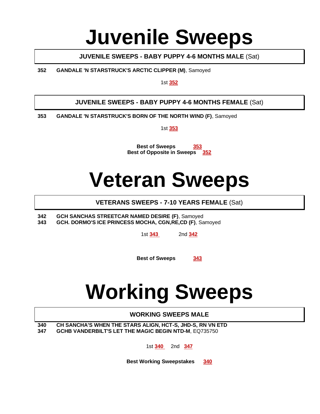## **Juvenile Sweeps**

**JUVENILE SWEEPS - BABY PUPPY 4-6 MONTHS MALE** (Sat)

**352 GANDALE 'N STARSTRUCK'S ARCTIC CLIPPER (M)**, Samoyed

1st **352**

## **JUVENILE SWEEPS - BABY PUPPY 4-6 MONTHS FEMALE** (Sat)

**353 GANDALE 'N STARSTRUCK'S BORN OF THE NORTH WIND (F)**, Samoyed

1st **353**

**Best of Sweeps 353 Best of Opposite in Sweeps 352**

## **Veteran Sweeps**

## **VETERANS SWEEPS - 7-10 YEARS FEMALE** (Sat)

**342 GCH SANCHAS STREETCAR NAMED DESIRE (F)**, Samoyed **343 GCH. DORMO'S ICE PRINCESS MOCHA, CGN,RE,CD (F)**, Samoyed

1st **343** 2nd **342**

**Best of Sweeps 343**

# **Working Sweeps**

## **WORKING SWEEPS MALE**

**340 CH SANCHA'S WHEN THE STARS ALIGN, HCT-S, JHD-S, RN VN ETD 347 GCHB VANDERBILT'S LET THE MAGIC BEGIN NTD-M**, EQ735750

1st **340** 2nd **347**

**Best Working Sweepstakes 340**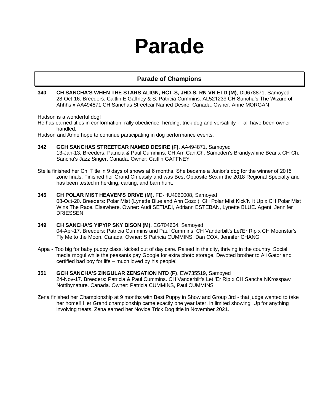## **Parade**

## **Parade of Champions**

**340 CH SANCHA'S WHEN THE STARS ALIGN, HCT-S, JHD-S, RN VN ETD (M)**, DU678871, Samoyed 28-Oct-16. Breeders: Caitlin E Gaffney & S. Patricia Cummins. AL521239 CH Sancha's The Wizard of Ahhhs x AA494871 CH Sanchas Streetcar Named Desire. Canada. Owner: Anne MORGAN

Hudson is a wonderful dog!

He has earned titles in conformation, rally obedience, herding, trick dog and versatility - all have been owner handled.

Hudson and Anne hope to continue participating in dog performance events.

- **342 GCH SANCHAS STREETCAR NAMED DESIRE (F)**, AA494871, Samoyed 13-Jan-13. Breeders: Patricia & Paul Cummins. CH Am.Can.Ch. Samoden's Brandywhine Bear x CH Ch. Sancha's Jazz Singer. Canada. Owner: Caitlin GAFFNEY
- Stella finished her Ch. Title in 9 days of shows at 6 months. She became a Junior's dog for the winner of 2015 zone finals. Finished her Grand Ch easily and was Best Opposite Sex in the 2018 Regional Specialty and has been tested in herding, carting, and barn hunt.
- **345 CH POLAR MIST HEAVEN'S DRIVE (M)**, FD-HU4060008, Samoyed 08-Oct-20. Breeders: Polar Mist (Lynette Blue and Ann Cozzi). CH Polar Mist Kick'N It Up x CH Polar Mist Wins The Race. Elsewhere. Owner: Audi SETIADI, Adriann ESTEBAN, Lynette BLUE. Agent: Jennifer **DRIESSEN**
- **349 CH SANCHA'S YIPYIP SKY BISON (M)**, EG704664, Samoyed 04-Apr-17. Breeders: Patricia Cummins and Paul Cummins. CH Vanderbilt's Let'Er Rip x CH Moonstar's Fly Me to the Moon. Canada. Owner: S Patricia CUMMINS, Dan COX, Jennifer CHANG
- Appa Too big for baby puppy class, kicked out of day care. Raised in the city, thriving in the country. Social media mogul while the peasants pay Google for extra photo storage. Devoted brother to Ali Gator and certified bad boy for life – much loved by his people!
- **351 GCH SANCHA'S ZINGULAR ZENSATION NTD (F)**, EW735519, Samoyed 24-Nov-17. Breeders: Patricia & Paul Cummins. CH Vanderbilt's Let 'Er Rip x CH Sancha NKrosspaw Nottibynature. Canada. Owner: Patricia CUMMINS, Paul CUMMINS
- Zena finished her Championship at 9 months with Best Puppy in Show and Group 3rd that judge wanted to take her home!! Her Grand championship came exactly one year later, in limited showing. Up for anything involving treats, Zena earned her Novice Trick Dog title in November 2021.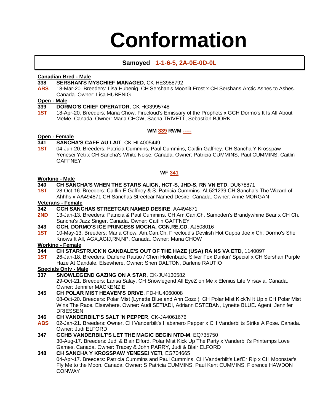## **Conformation**

## **Samoyed 1-1-6-5, 2A-0E-0D-0L**

## **Canadian Bred - Male**

## **338 SERSHAN'S MYSCHIEF MANAGED**, CK-HE3988792

**ABS** 18-Mar-20. Breeders: Lisa Hubenig. CH Sershan's Moonlit Frost x CH Sershans Arctic Ashes to Ashes. Canada. Owner: Lisa HUBENIG

## **Open - Male**

- **339 DORMO'S CHIEF OPERATOR**, CK-HG3995748
- **1ST** 18-Apr-20. Breeders: Maria Chow. Firecloud's Emissary of the Prophets x GCH Dormo's It Is All About MeMe. Canada. Owner: Maria CHOW, Sacha TRIVETT, Sebastian BJORK

## **WM 339 RWM -----**

## **Open - Female**

## **341 SANCHA'S CAFE AU LAIT**, CK-HL4005449

**1ST** 04-Jun-20. Breeders: Patricia Cummins, Paul Cummins, Caitlin Gaffney. CH Sancha Y Krosspaw Yenesei Yeti x CH Sancha's White Noise. Canada. Owner: Patricia CUMMINS, Paul CUMMINS, Caitlin **GAFFNEY** 

## **WF 341**

- **Working - Male 340 CH SANCHA'S WHEN THE STARS ALIGN, HCT-S, JHD-S, RN VN ETD**, DU678871
- **1ST** 28-Oct-16. Breeders: Caitlin E Gaffney & S. Patricia Cummins. AL521239 CH Sancha's The Wizard of Ahhhs x AA494871 CH Sanchas Streetcar Named Desire. Canada. Owner: Anne MORGAN

## **Veterans - Female**

- **342 GCH SANCHAS STREETCAR NAMED DESIRE**, AA494871
- **2ND** 13-Jan-13. Breeders: Patricia & Paul Cummins. CH Am.Can.Ch. Samoden's Brandywhine Bear x CH Ch. Sancha's Jazz Singer. Canada. Owner: Caitlin GAFFNEY
- **343 GCH. DORMO'S ICE PRINCESS MOCHA, CGN,RE,CD**, AJ508016
- **1ST** 10-May-13. Breeders: Maria Chow. Am.Can.Ch. Firecloud's Devilish Hot Cuppa Joe x Ch. Dormo's She Knows It All, AGX,AGIJ,RN,NP. Canada. Owner: Maria CHOW

## **Working - Female**

- **344 CH STARSTRUCK'N GANDALE'S OUT OF THE HAZE (USA) RA NS VA ETD**, 1140097
- **1ST** 26-Jan-18. Breeders: Darlene Rautio / Cheri Hollenback. Silver Fox Dunkin' Special x CH Sershan Purple Haze At Gandale. Elsewhere. Owner: Sheri DALTON, Darlene RAUTIO

## **Specials Only - Male**

**337 SNOWLEGEND GAZING ON A STAR**, CK-JU4130582

29-Oct-21. Breeders: Larisa Salay. CH Snowlegend All EyeZ on Me x Elenius Life Virsavia. Canada. Owner: Jennifer MACKENZIE

## **345 CH POLAR MIST HEAVEN'S DRIVE**, FD-HU4060008

08-Oct-20. Breeders: Polar Mist (Lynette Blue and Ann Cozzi). CH Polar Mist Kick'N It Up x CH Polar Mist Wins The Race. Elsewhere. Owner: Audi SETIADI, Adriann ESTEBAN, Lynette BLUE. Agent: Jennifer DRIESSEN

- **346 CH VANDERBILT'S SALT 'N PEPPER**, CK-JA4061676
- **ABS** 02-Jan-21. Breeders: Owner. CH Vanderbilt's Habanero Pepper x CH Vanderbilts Strike A Pose. Canada. Owner: Judi ELFORD

## **347 GCHB VANDERBILT'S LET THE MAGIC BEGIN NTD-M**, EQ735750 30-Aug-17. Breeders: Judi & Blair Elford. Polar Mist Kick Up The Party x Vanderbilt's Printemps Love Games. Canada. Owner: Tracey & John PARRY, Judi & Blair ELFORD

## **348 CH SANCHA Y KROSSPAW YENESEI YETI**, EG704665

04-Apr-17. Breeders: Patricia Cummins and Paul Cummins. CH Vanderbilt's Let'Er Rip x CH Moonstar's Fly Me to the Moon. Canada. Owner: S Patricia CUMMINS, Paul Kent CUMMINS, Florence HAWDON **CONWAY**